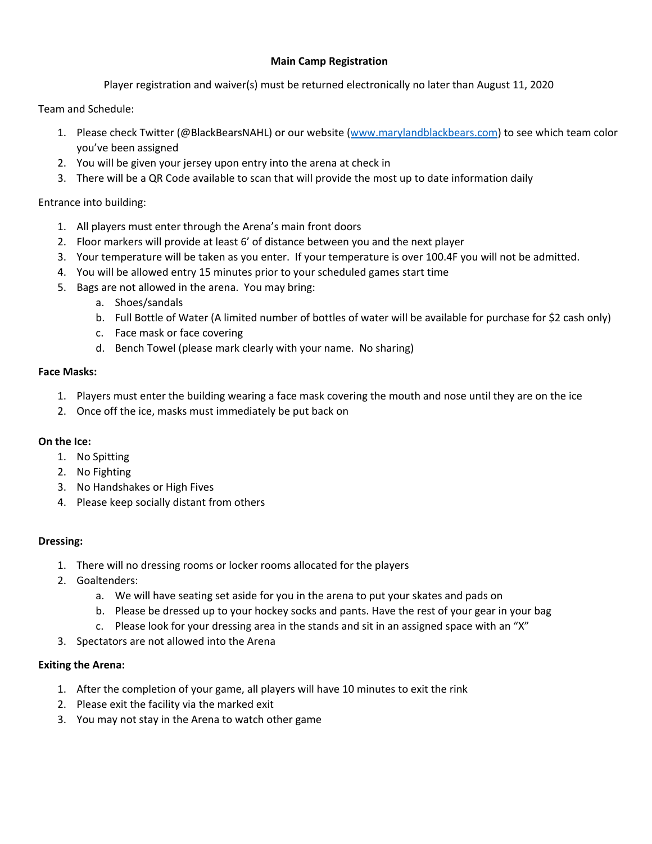## **Main Camp Registration**

Player registration and waiver(s) must be returned electronically no later than August 11, 2020

Team and Schedule:

- 1. Please check Twitter (@BlackBearsNAHL) or our website (www.marylandblackbears.com) to see which team color you've been assigned
- 2. You will be given your jersey upon entry into the arena at check in
- 3. There will be a QR Code available to scan that will provide the most up to date information daily

Entrance into building:

- 1. All players must enter through the Arena's main front doors
- 2. Floor markers will provide at least 6' of distance between you and the next player
- 3. Your temperature will be taken as you enter. If your temperature is over 100.4F you will not be admitted.
- 4. You will be allowed entry 15 minutes prior to your scheduled games start time
- 5. Bags are not allowed in the arena. You may bring:
	- a. Shoes/sandals
	- b. Full Bottle of Water (A limited number of bottles of water will be available for purchase for \$2 cash only)
	- c. Face mask or face covering
	- d. Bench Towel (please mark clearly with your name. No sharing)

### **Face Masks:**

- 1. Players must enter the building wearing a face mask covering the mouth and nose until they are on the ice
- 2. Once off the ice, masks must immediately be put back on

### **On the Ice:**

- 1. No Spitting
- 2. No Fighting
- 3. No Handshakes or High Fives
- 4. Please keep socially distant from others

### **Dressing:**

- 1. There will no dressing rooms or locker rooms allocated for the players
- 2. Goaltenders:
	- a. We will have seating set aside for you in the arena to put your skates and pads on
	- b. Please be dressed up to your hockey socks and pants. Have the rest of your gear in your bag
	- c. Please look for your dressing area in the stands and sit in an assigned space with an "X"
- 3. Spectators are not allowed into the Arena

### **Exiting the Arena:**

- 1. After the completion of your game, all players will have 10 minutes to exit the rink
- 2. Please exit the facility via the marked exit
- 3. You may not stay in the Arena to watch other game